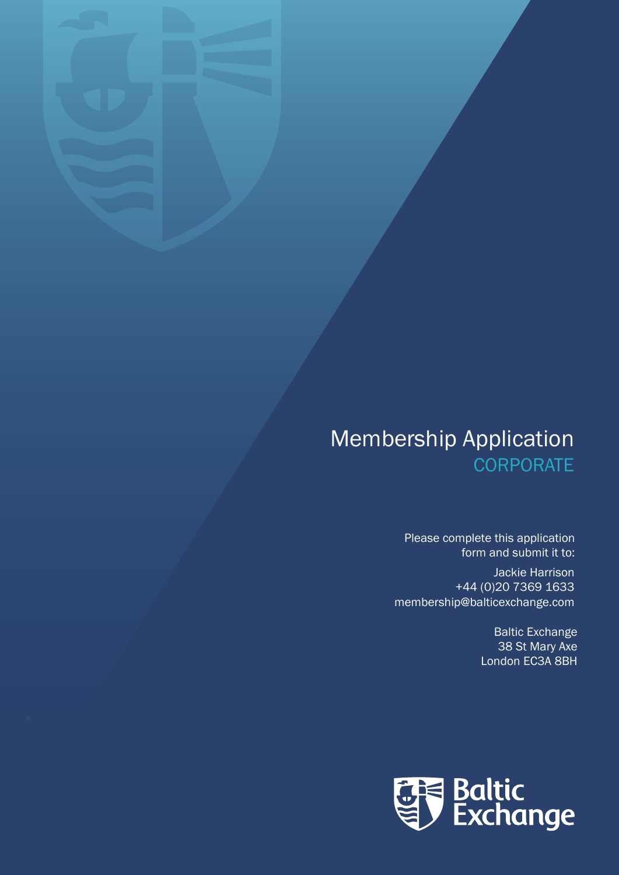## Membership Application **CORPORATE**

Please complete this application form and submit it to:

Jackie Harrison +44 (0)20 7369 1633 membership@balticexchange.com

> Baltic Exchange 38 St Mary Axe London EC3A 8BH

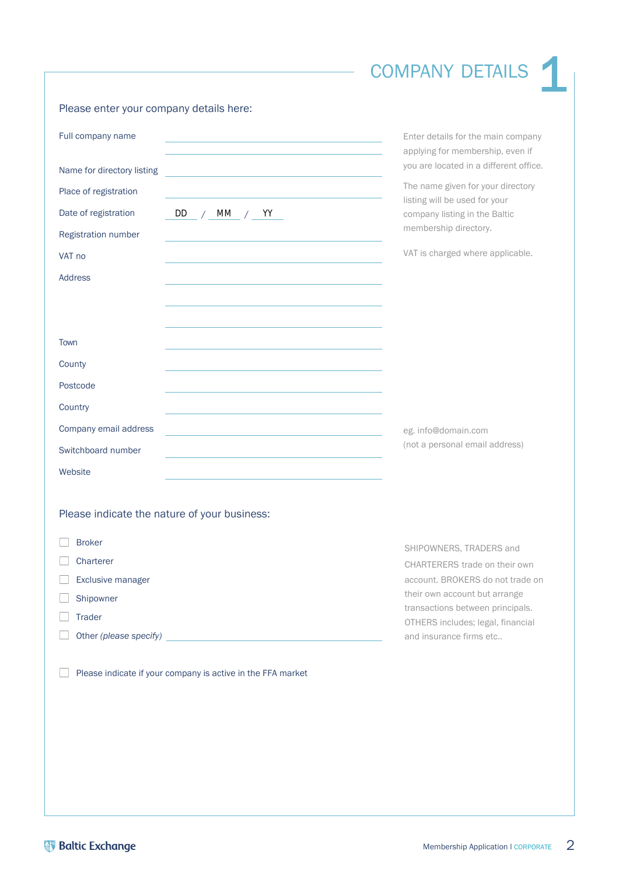## COMPANY DETAILS 1

## Please enter your company details here:

| Full company name                                                                                                                                                                                                              | Enter details for the main company<br>applying for membership, even if |
|--------------------------------------------------------------------------------------------------------------------------------------------------------------------------------------------------------------------------------|------------------------------------------------------------------------|
| Name for directory listing                                                                                                                                                                                                     | you are located in a different office.                                 |
| Place of registration                                                                                                                                                                                                          | The name given for your directory<br>listing will be used for your     |
| Date of registration<br>DD<br>МM<br>$\frac{1}{2}$ / YY<br>$\sqrt{2}$                                                                                                                                                           | company listing in the Baltic<br>membership directory.                 |
| Registration number                                                                                                                                                                                                            |                                                                        |
| VAT no                                                                                                                                                                                                                         | VAT is charged where applicable.                                       |
| <b>Address</b>                                                                                                                                                                                                                 |                                                                        |
|                                                                                                                                                                                                                                |                                                                        |
|                                                                                                                                                                                                                                |                                                                        |
| Town                                                                                                                                                                                                                           |                                                                        |
| County                                                                                                                                                                                                                         |                                                                        |
| Postcode                                                                                                                                                                                                                       |                                                                        |
| Country                                                                                                                                                                                                                        |                                                                        |
| Company email address                                                                                                                                                                                                          | eg. info@domain.com                                                    |
| Switchboard number                                                                                                                                                                                                             | (not a personal email address)                                         |
| Website                                                                                                                                                                                                                        |                                                                        |
|                                                                                                                                                                                                                                |                                                                        |
| Please indicate the nature of your business:                                                                                                                                                                                   |                                                                        |
| <b>Broker</b>                                                                                                                                                                                                                  | SHIPOWNERS, TRADERS and                                                |
| Charterer                                                                                                                                                                                                                      | CHARTERERS trade on their own                                          |
| Exclusive manager                                                                                                                                                                                                              | account. BROKERS do not trade on                                       |
| Shipowner                                                                                                                                                                                                                      | their own account but arrange<br>transactions between principals.      |
| <b>Trader</b>                                                                                                                                                                                                                  | OTHERS includes; legal, financial                                      |
| Other (please specify) example and the contract of the contract of the contract of the contract of the contract of the contract of the contract of the contract of the contract of the contract of the contract of the contrac | and insurance firms etc                                                |
|                                                                                                                                                                                                                                |                                                                        |
| Please indicate if your company is active in the FFA market                                                                                                                                                                    |                                                                        |
|                                                                                                                                                                                                                                |                                                                        |
|                                                                                                                                                                                                                                |                                                                        |
|                                                                                                                                                                                                                                |                                                                        |
|                                                                                                                                                                                                                                |                                                                        |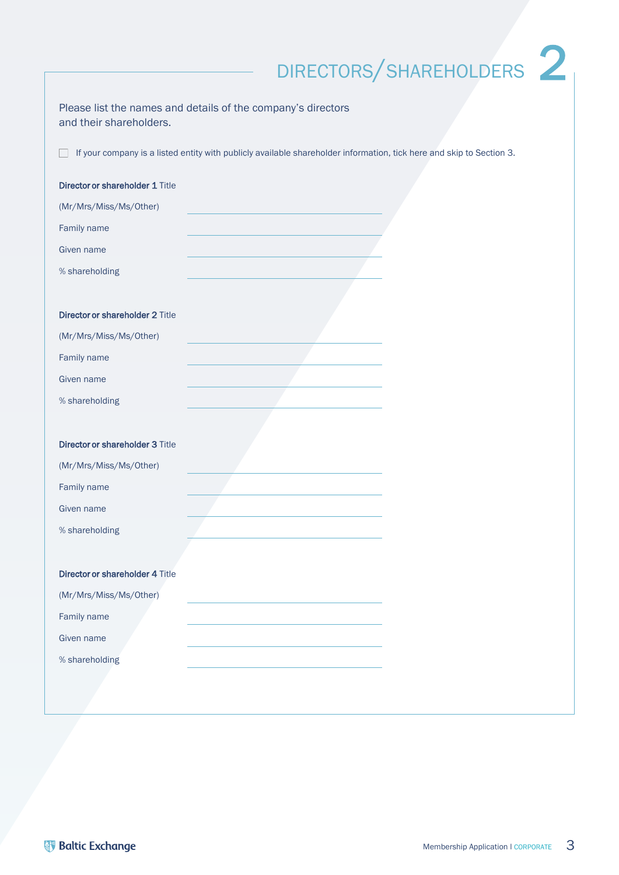# DIRECTORS/SHAREHOLDERS<sup>2</sup>

| Please list the names and details of the company's directors<br>and their shareholders.                              |  |
|----------------------------------------------------------------------------------------------------------------------|--|
| If your company is a listed entity with publicly available shareholder information, tick here and skip to Section 3. |  |
| Director or shareholder 1 Title                                                                                      |  |
| (Mr/Mrs/Miss/Ms/Other)                                                                                               |  |
| Family name                                                                                                          |  |
| Given name                                                                                                           |  |
| % shareholding                                                                                                       |  |
|                                                                                                                      |  |
| <b>Director or shareholder 2 Title</b>                                                                               |  |
| (Mr/Mrs/Miss/Ms/Other)                                                                                               |  |
| Family name                                                                                                          |  |
| Given name                                                                                                           |  |
| % shareholding                                                                                                       |  |
|                                                                                                                      |  |
| Director or shareholder 3 Title                                                                                      |  |
| (Mr/Mrs/Miss/Ms/Other)                                                                                               |  |
| Family name                                                                                                          |  |
| Given name                                                                                                           |  |
| % shareholding                                                                                                       |  |
|                                                                                                                      |  |
| Director or shareholder 4 Title                                                                                      |  |
| (Mr/Mrs/Miss/Ms/Other)                                                                                               |  |
| Family name                                                                                                          |  |
| Given name                                                                                                           |  |
| % shareholding                                                                                                       |  |
|                                                                                                                      |  |
|                                                                                                                      |  |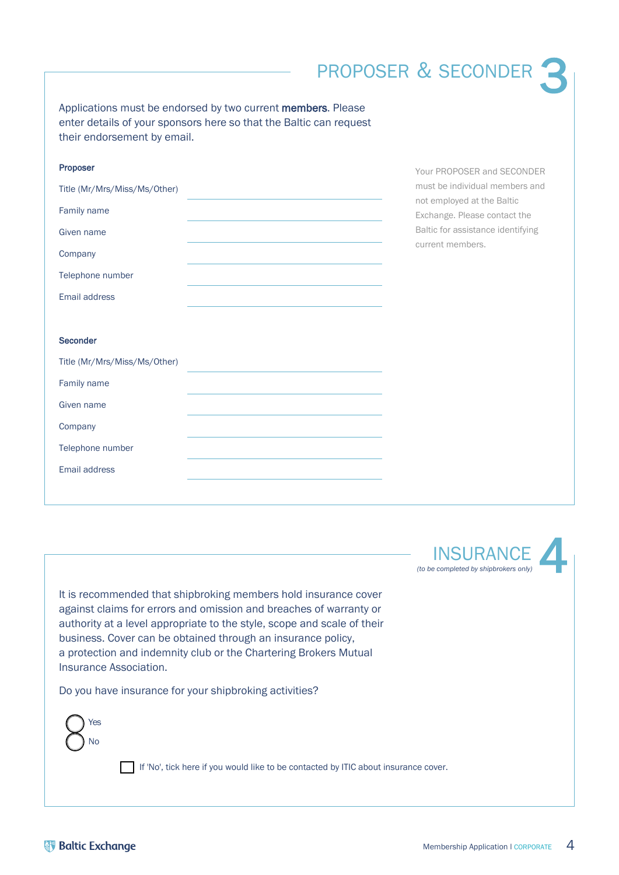## PROPOSER & SECONDER 3

Applications must be endorsed by two current members. Please enter details of your sponsors here so that the Baltic can request their endorsement by email.

| Proposer                     |  |
|------------------------------|--|
| Title (Mr/Mrs/Miss/Ms/Other) |  |
| Family name                  |  |
| Given name                   |  |
| Company                      |  |
| Telephone number             |  |
| Email address                |  |

Your PROPOSER and SECONDER must be individual members and not employed at the Baltic Exchange. Please contact the Baltic for assistance identifying current members.

### **Seconder**

**INSURANCE** *(to be completed by shipbrokers only)* 4

It is recommended that shipbroking members hold insurance cover against claims for errors and omission and breaches of warranty or authority at a level appropriate to the style, scope and scale of their business. Cover can be obtained through an insurance policy, a protection and indemnity club or the Chartering Brokers Mutual Insurance Association.

Do you have insurance for your shipbroking activities?

Yes  $N<sub>0</sub>$ 

If 'No', tick here if you would like to be contacted by ITIC about insurance cover.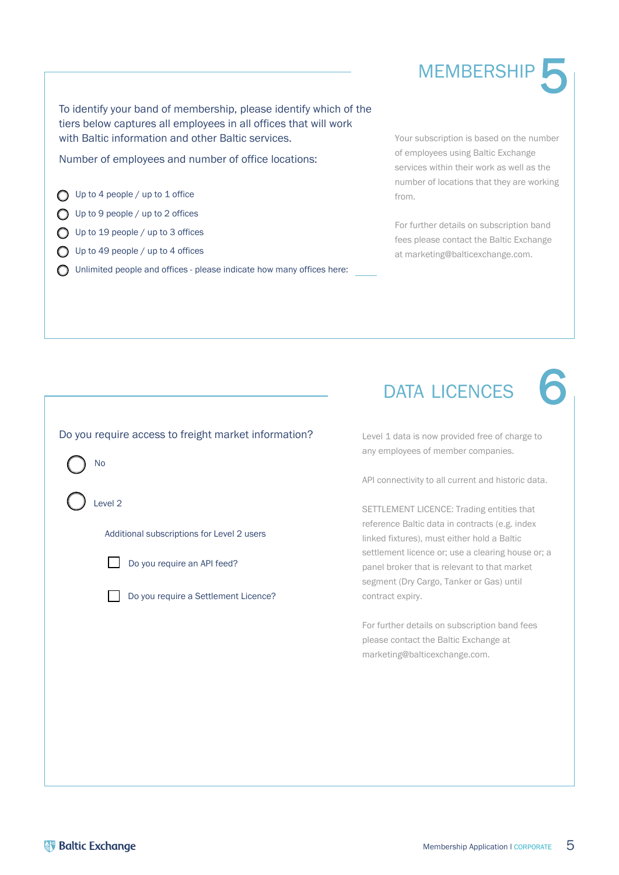## To identify your band of membership, please identify which of the tiers below captures all employees in all offices that will work with Baltic information and other Baltic services.

Number of employees and number of office locations:

 $\bigcap$  Up to 4 people / up to 1 office

Up to 9 people / up to 2 offices

- O Up to 19 people / up to 3 offices
- $\bigcap$  Up to 49 people / up to 4 offices
- O Unlimited people and offices please indicate how many offices here:

Your subscription is based on the number of employees using Baltic Exchange services within their work as well as the number of locations that they are working from.

**MEMBERSHIP** 

5

6

For further details on subscription band fees please contact the Baltic Exchange at [marketing@balticexchange.com.](mailto:marketing@balticexchange.com)

Level 1 data is now provided free of charge to any employees of member companies.

API connectivity to all current and historic data.

SETTLEMENT LICENCE: Trading entities that reference Baltic data in contracts (e.g. index linked fixtures), must either hold a Baltic settlement licence or; use a clearing house or; a panel broker that is relevant to that market segment (Dry Cargo, Tanker or Gas) until contract expiry.

For further details on subscription band fees please contact the Baltic Exchange at marketing@balticexchange.com.

| No                                         |
|--------------------------------------------|
| Level <sub>2</sub>                         |
| Additional subscriptions for Level 2 users |
| Do you require an API feed?                |
| Do you require a Settlement Licence?       |
|                                            |
|                                            |
|                                            |
|                                            |

Do you require access to freight market information?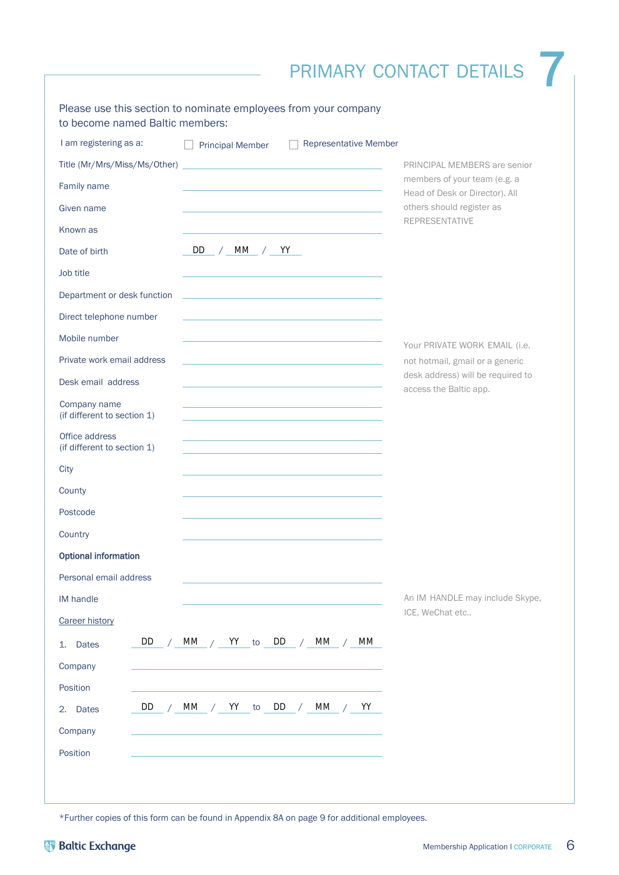## PRIMARY CONTACT DETAILS 7

| I am registering as a:                        | <b>Principal Member</b>                                                                   | <b>Representative Member</b>                                               |                                                             |
|-----------------------------------------------|-------------------------------------------------------------------------------------------|----------------------------------------------------------------------------|-------------------------------------------------------------|
| Title (Mr/Mrs/Miss/Ms/Other)                  | the control of the control of the control of the control of the control of                |                                                                            | PRINCIPAL MEMBERS are senior                                |
| Family name                                   |                                                                                           |                                                                            | members of your team (e.g. a                                |
| Given name                                    |                                                                                           |                                                                            | Head of Desk or Director). All<br>others should register as |
| Known as                                      |                                                                                           |                                                                            | <b>REPRESENTATIVE</b>                                       |
| Date of birth                                 | DD.<br>/ MM / YY                                                                          |                                                                            |                                                             |
| Job title                                     |                                                                                           |                                                                            |                                                             |
| Department or desk function                   | the control of the control of the control of the control of the control of the control of |                                                                            |                                                             |
| Direct telephone number                       |                                                                                           |                                                                            |                                                             |
| Mobile number                                 |                                                                                           |                                                                            | Your PRIVATE WORK EMAIL (i.e.                               |
| Private work email address                    |                                                                                           |                                                                            | not hotmail, gmail or a generic                             |
| Desk email address                            |                                                                                           |                                                                            | desk address) will be required to<br>access the Baltic app. |
| Company name<br>(if different to section 1)   |                                                                                           | the control of the control of the control of the control of the control of |                                                             |
| Office address<br>(if different to section 1) |                                                                                           |                                                                            |                                                             |
| City                                          |                                                                                           |                                                                            |                                                             |
| County                                        |                                                                                           |                                                                            |                                                             |
| Postcode                                      |                                                                                           |                                                                            |                                                             |
| Country                                       |                                                                                           |                                                                            |                                                             |
| <b>Optional information</b>                   |                                                                                           |                                                                            |                                                             |
| Personal email address                        |                                                                                           |                                                                            |                                                             |
| IM handle                                     |                                                                                           |                                                                            | An IM HANDLE may include Skype,                             |
| <b>Career history</b>                         |                                                                                           |                                                                            | ICE, WeChat etc                                             |
| DD<br><b>Dates</b><br>1.                      | MM / YY to DD                                                                             | МM<br>МM<br>$\sqrt{2}$                                                     |                                                             |
| Company                                       |                                                                                           |                                                                            |                                                             |
| Position                                      |                                                                                           |                                                                            |                                                             |
| DD<br><b>Dates</b><br>2.                      | МM<br>YY<br>to<br>$\sqrt{2}$                                                              | MM<br>DD<br>YY<br>$\sqrt{2}$                                               |                                                             |
| Company                                       |                                                                                           |                                                                            |                                                             |
| Position                                      |                                                                                           |                                                                            |                                                             |

\*Further copies of this form can be found in Appendix 8A on page 9 for additional employees.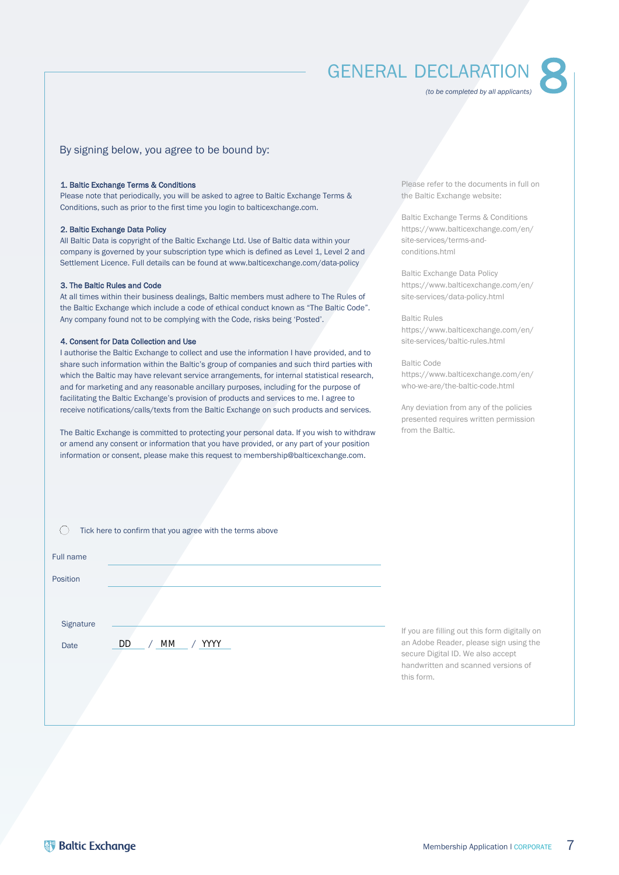## GENERAL DECLARATION

*(to be completed by all applicants)*

# 8

### By signing below, you agree to be bound by:

#### 1. Baltic Exchange Terms & Conditions

Please note that periodically, you will be asked to agree to Baltic Exchange Terms & Conditions, such as prior to the first time you login to balticexchange.com.

#### 2. Baltic Exchange Data Policy

All Baltic Data is copyright of the Baltic Exchange Ltd. Use of Baltic data within your company is governed by your subscription type which is defined as Level 1, Level 2 and Settlement Licence. Full details can be found at www.balticexchange.com/data-policy

#### 3. The Baltic Rules and Code

At all times within their business dealings, Baltic members must adhere to The Rules of the Baltic Exchange which include a code of ethical conduct known as "The Baltic Code". Any company found not to be complying with the Code, risks being 'Posted'.

#### 4. Consent for Data Collection and Use

I authorise the Baltic Exchange to collect and use the information I have provided, and to share such information within the Baltic's group of companies and such third parties with which the Baltic may have relevant service arrangements, for internal statistical research, and for marketing and any reasonable ancillary purposes, including for the purpose of facilitating the Baltic Exchange's provision of products and services to me. I agree to receive notifications/calls/texts from the Baltic Exchange on such products and services.

The Baltic Exchange is committed to protecting your personal data. If you wish to withdraw or amend any consent or information that you have provided, or any part of your position information or consent, please make this request to membership@balticexchange.com.

Please refer to the documents in full on the Baltic Exchange website:

Baltic Exchange Terms & Conditions [https://www.balticexchange.com/en/](https://www.balticexchange.com/en/site-services/terms-and-conditions.html) site-services/terms-andconditions.html

Baltic Exchange Data Policy [https://www.balticexchange.com/en/](https://www.balticexchange.com/en/site-services/data-policy.html) site-services/data-policy.html

Baltic Rules [https://www.balticexchange.com/en/](https://www.balticexchange.com/en/who-we-are/the-baltic-code.html) site-services/baltic-rules.html

#### Baltic Code https://www.balticexchange.com/en/

who-we-are/the-baltic-code.html

Any deviation from any of the policies presented requires written permission from the Baltic.

|           | Tick here to confirm that you agree with the terms above |                                                                                                                    |
|-----------|----------------------------------------------------------|--------------------------------------------------------------------------------------------------------------------|
| Full name |                                                          |                                                                                                                    |
| Position  |                                                          |                                                                                                                    |
|           |                                                          |                                                                                                                    |
| Signature |                                                          | If you are filling out this form digitally on                                                                      |
| Date      | <b>DD</b><br>YYYY<br>МM                                  | an Adobe Reader, please sign using the<br>secure Digital ID. We also accept<br>handwritten and scanned versions of |
|           |                                                          | this form.                                                                                                         |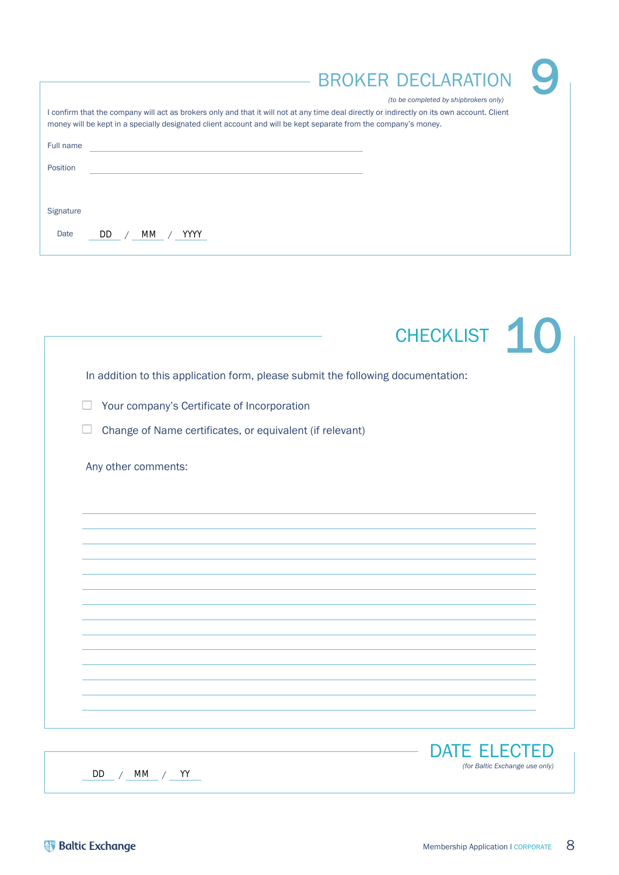|                             | Y<br><b>BROKER DECLARATION</b><br>(to be completed by shipbrokers only)                                                                                                                                                                                        |
|-----------------------------|----------------------------------------------------------------------------------------------------------------------------------------------------------------------------------------------------------------------------------------------------------------|
|                             | I confirm that the company will act as brokers only and that it will not at any time deal directly or indirectly on its own account. Client<br>money will be kept in a specially designated client account and will be kept separate from the company's money. |
| Full name                   |                                                                                                                                                                                                                                                                |
| Position                    |                                                                                                                                                                                                                                                                |
|                             |                                                                                                                                                                                                                                                                |
| Signature                   |                                                                                                                                                                                                                                                                |
| Date<br>DD.<br>YYYY.<br>MM. |                                                                                                                                                                                                                                                                |

|                                                                                  | CHECKLIST 10        |
|----------------------------------------------------------------------------------|---------------------|
| In addition to this application form, please submit the following documentation: |                     |
| Your company's Certificate of Incorporation                                      |                     |
| Change of Name certificates, or equivalent (if relevant)                         |                     |
| Any other comments:                                                              |                     |
|                                                                                  |                     |
|                                                                                  |                     |
|                                                                                  |                     |
|                                                                                  |                     |
|                                                                                  |                     |
|                                                                                  |                     |
|                                                                                  |                     |
|                                                                                  |                     |
|                                                                                  |                     |
|                                                                                  | <b>DATE ELECTED</b> |